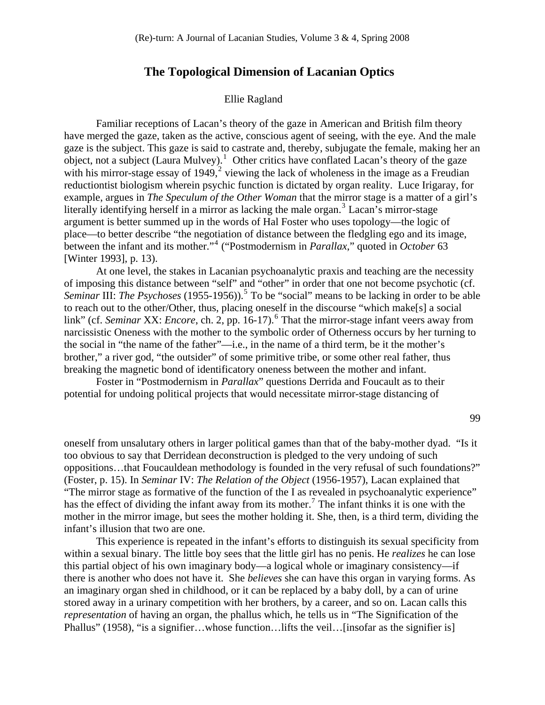## **The Topological Dimension of Lacanian Optics**

## Ellie Ragland

Familiar receptions of Lacan's theory of the gaze in American and British film theory have merged the gaze, taken as the active, conscious agent of seeing, with the eye. And the male gaze is the subject. This gaze is said to castrate and, thereby, subjugate the female, making her an  $\omega$ bject, not a subject (Laura Mulvey).<sup>[1](#page-9-0)</sup> Other critics have conflated Lacan's theory of the gaze with his mirror-stage essay of  $1949$ , viewing the lack of wholeness in the image as a Freudian reductiontist biologism wherein psychic function is dictated by organ reality. Luce Irigaray, for example, argues in *The Speculum of the Other Woman* that the mirror stage is a matter of a girl's literally identifying herself in a mirror as lacking the male organ.<sup>[3](#page-9-1)</sup> Lacan's mirror-stage argument is better summed up in the words of Hal Foster who uses topology—the logic of place—to better describe "the negotiation of distance between the fledgling ego and its image, between the infant and its mother."[4](#page-9-1) ("Postmodernism in *Parallax*," quoted in *October* 63 [Winter 1993], p. 13).

 At one level, the stakes in Lacanian psychoanalytic praxis and teaching are the necessity of imposing this distance between "self" and "other" in order that one not become psychotic (cf. Seminar III: *The Psychoses* (19[5](#page-9-1)5-1956)).<sup>5</sup> To be "social" means to be lacking in order to be able narcissistic Oneness with the mother to the symbolic order of Otherness occurs by her turning to brother," a river god, "the outsider" of some primitive tribe, or some other real father, thus to reach out to the other/Other, thus, placing oneself in the discourse "which make[s] a social link" (cf. *Seminar XX: Encore*, ch. 2, pp. 1[6](#page-9-1)-17).<sup>6</sup> That the mirror-stage infant veers away from the social in "the name of the father"—i.e., in the name of a third term, be it the mother's breaking the magnetic bond of identificatory oneness between the mother and infant.

potential for undoing political projects that would necessitate mirror-stage distancing of Foster in "Postmodernism in *Parallax*" questions Derrida and Foucault as to their

99

oneself from unsalutary others in larger political games than that of the baby-mother dyad. "Is it oppositions...that Foucauldean methodology is founded in the very refusal of such foundations?" "The mirror stage as formative of the function of the I as revealed in psychoanalytic experience" mother in the mirror image, but sees the mother holding it. She, then, is a third term, dividing the infant's illusion that two are one. too obvious to say that Derridean deconstruction is pledged to the very undoing of such (Foster, p. 15). In *Seminar* IV: *The Relation of the Object* (1956-1957), Lacan explained that has the effect of dividing the infant away from its mother.<sup>[7](#page-9-1)</sup> The infant thinks it is one with the

within a sexual binary. The little boy sees that the little girl has no penis. He *realizes* he can lose there is another who does not have it. She *believes* she can have this organ in varying forms. As stored away in a urinary competition with her brothers, by a career, and so on. Lacan calls this This experience is repeated in the infant's efforts to distinguish its sexual specificity from this partial object of his own imaginary body—a logical whole or imaginary consistency—if an imaginary organ shed in childhood, or it can be replaced by a baby doll, by a can of urine *representation* of having an organ, the phallus which, he tells us in "The Signification of the Phallus" (1958), "is a signifier...whose function... lifts the veil... [insofar as the signifier is]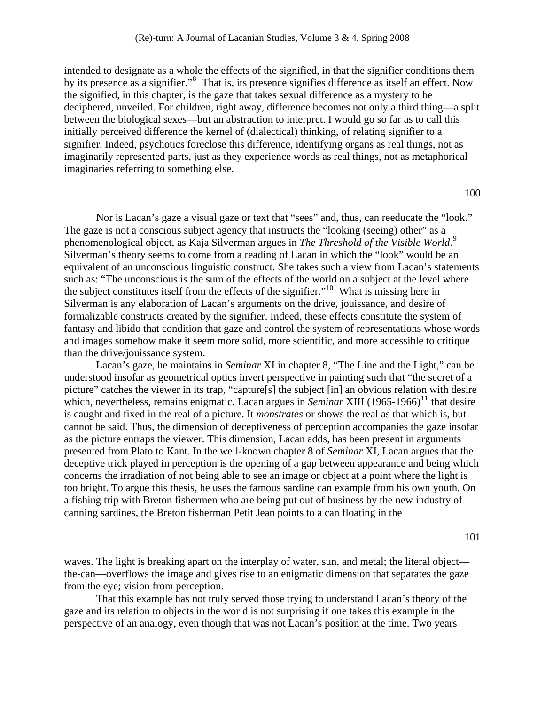intended to designate as a whole the effects of the signified, in that the signifier conditions them by its presence as a signifier."<sup>[8](#page-9-1)</sup> That is, its presence signifies difference as itself an effect. Now the signified, in this chapter, is the gaze that takes sexual difference as a mystery to be deciphered, unveiled. For children, right away, difference becomes not only a third thing—a s plit between the biological sexes—but an abstraction to interpret. I would go so far as to call t his initially perceived difference the kernel of (dialectical) thinking, of relating signifier to a signifier. Indeed, psychotics foreclose this difference, identifying organs as real things, not as imaginarily represented parts, just as they experience words as real things, not as metaphorical imaginaries referring to something else.

100

Nor is Lacan's gaze a visual gaze or text that "sees" and, thus, can reeducate the "look." equivalent of an unconscious linguistic construct. She takes such a view from Lacan's statements such as: "The unconscious is the sum of the effects of the world on a subject at the level where fantasy and libido that condition that gaze and control the system of representations whose words and images somehow make it seem more solid, more scientific, and more accessible to critique The gaze is not a conscious subject agency that instructs the "looking (seeing) other" as a phenomenological object, as Kaja Silverman argues in *The Threshold of the Visible World*. [9](#page-10-0) Silverman's theory seems to come from a reading of Lacan in which the "look" would be an the subject constitutes itself from the effects of the signifier."[10](#page-10-0) What is missing here in Silverman is any elaboration of Lacan's arguments on the drive, jouissance, and desire of formalizable constructs created by the signifier. Indeed, these effects constitute the system of than the drive/jouissance system.

which, nevertheless, remains enigmatic. Lacan argues in *Seminar XIII* (1965-1966)<sup>[11](#page-10-0)</sup> that desire cannot be said. Thus, the dimension of deceptiveness of perception accompanies the gaze insofar deceptive trick played in perception is the opening of a gap between appearance and being which too bright. To argue this thesis, he uses the famous sardine can example from his own youth. On a fishing trip with Breton fishermen who are being put out of business by the new industry of anning sardines, the Breton fisherman Petit Jean points to a can floating in the c Lacan's gaze, he maintains in *Seminar* XI in chapter 8, "The Line and the Light," can be understood insofar as geometrical optics invert perspective in painting such that "the secret of a picture" catches the viewer in its trap, "capture[s] the subject [in] an obvious relation with desire is caught and fixed in the real of a picture. It *monstrates* or shows the real as that which is, but as the picture entraps the viewer. This dimension, Lacan adds, has been present in arguments presented from Plato to Kant. In the well-known chapter 8 of *Seminar* XI, Lacan argues that the concerns the irradiation of not being able to see an image or object at a point where the light is

101

the-can—overflows the image and gives rise to an enigmatic dimension that separates the gaze from the eye; vision from perception. waves. The light is breaking apart on the interplay of water, sun, and metal; the literal object—

That this example has not truly served those trying to understand Lacan's theory of the gaze and its relation to objects in the world is not surprising if one takes this example in the perspective of an analogy, even though that was not Lacan's position at the time. Two years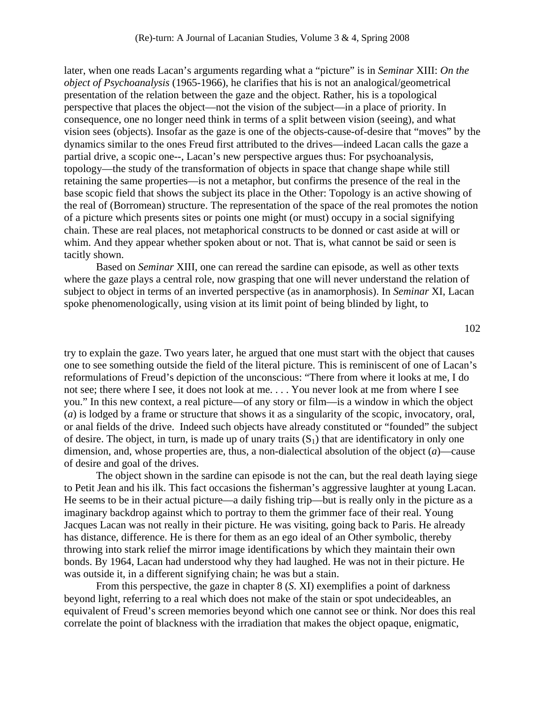later, when one reads Lacan's arguments regarding what a "picture" is in *Seminar* XIII: *On the object of Psychoanalysis* (1965-1966), he clarifies that his is not an analogical/geometric al presentation of the relation between the gaze and the object. Rather, his is a topological perspective that places the object—not the vision of the subject—in a place of priority. In consequence, one no longer need think in terms of a split between vision (seeing), and what vision sees (objects). Insofar as the gaze is one of the objects-cause-of-desire that "moves" by th e dynamics similar to the ones Freud first attributed to the drives—indeed Lacan calls the gaze a partial drive, a scopic one--, Lacan's new perspective argues thus: For psychoanalysis, topology—the study of the transformation of objects in space that change shape while still retaining the same properties—is not a metaphor, but confirms the presence of the real in the base scopic field that shows the subject its place in the Other: Topology is an active showing of the real of (Borromean) structure. The representation of the space of the real promotes the notion of a picture which presents sites or points one might (or must) occupy in a social signifying chain. These are real places, not metaphorical constructs to be donned or cast aside at will or whim. And they appear whether spoken about or not. That is, what cannot be said or seen is tacitly shown.

subject to object in terms of an inverted perspective (as in anamorphosis). In *Seminar* XI, Lacan spoke phenomenologically, using vision at its limit point of being blinded by light, to Based on *Seminar* XIII, one can reread the sardine can episode, as well as other texts where the gaze plays a central role, now grasping that one will never understand the relation of

reformulations of Freud's depiction of the unconscious: "There from where it looks at me, I do or anal fields of the drive. Indeed such objects have already constituted or "founded" the subject dimension, and, whose properties are, thus, a non-dialectical absolution of the object  $(a)$ —cause try to explain the gaze. Two years later, he argued that one must start with the object that causes one to see something outside the field of the literal picture. This is reminiscent of one of Lacan's not see; there where I see, it does not look at me. . . . You never look at me from where I see you." In this new context, a real picture—of any story or film—is a window in which the object (*a*) is lodged by a frame or structure that shows it as a singularity of the scopic, invocatory, oral, of desire. The object, in turn, is made up of unary traits  $(S_1)$  that are identificatory in only one of desire and goal of the drives.

He seems to be in their actual picture—a daily fishing trip—but is really only in the picture as a Jacques Lacan was not really in their picture. He was visiting, going back to Paris. He already bonds. By 1964, Lacan had understood why they had laughed. He was not in their picture. He The object shown in the sardine can episode is not the can, but the real death laying siege to Petit Jean and his ilk. This fact occasions the fisherman's aggressive laughter at young Lacan. imaginary backdrop against which to portray to them the grimmer face of their real. Young has distance, difference. He is there for them as an ego ideal of an Other symbolic, thereby throwing into stark relief the mirror image identifications by which they maintain their own was outside it, in a different signifying chain; he was but a stain.

equivalent of Freud's screen memories beyond which one cannot see or think. Nor does this real correlate the point of blackness with the irradiation that makes the object opaque, enigmatic, From this perspective, the gaze in chapter 8 (*S*. XI) exemplifies a point of darkness beyond light, referring to a real which does not make of the stain or spot undecideables, an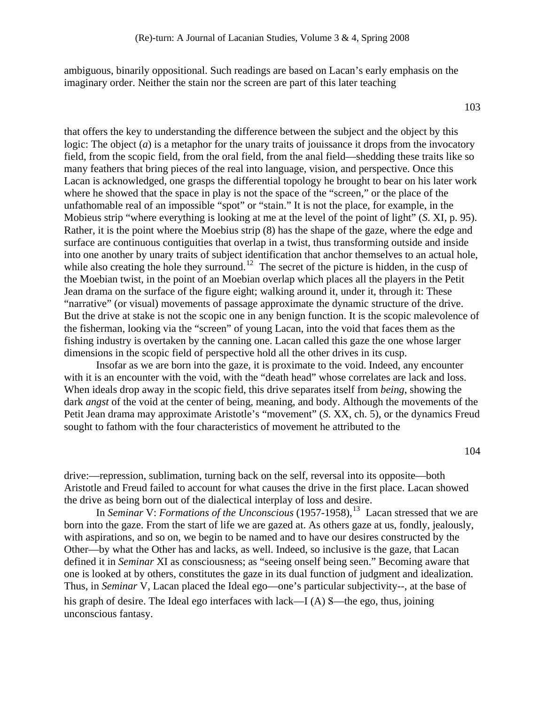ambiguous, binarily oppositional. Such readings are based on Lacan's early emphasis on the imaginary order. Neither the stain nor the screen are part of this later teaching

that offers the key to understanding the difference between the subject and the object by this logic: The object (*a*) is a metaphor for the unary traits of jouissance it drops from the invocatory field, from the scopic field, from the oral field, from the anal field—shedding these traits like so many feathers that bring pieces of the real into language, vision, and perspective. Once this Lacan is acknowledged, one grasps the differential topology he brought to bear on his later work where he showed that the space in play is not the space of the "screen," or the place of the unfathomable real of an impossible "spot" or "stain." It is not the place, for example, in the Mobieus strip "where everything is looking at me at the level of the point of light" (*S*. XI, p. 95). Rather, it is the point where the Moebius strip (8) has the shape of the gaze, where the edge and surface are continuous contiguities that overlap in a twist, thus transforming outside and inside into one another by unary traits of subject identification that anchor themselves to an actual hole, while also creating the hole they surround.<sup>[12](#page-10-0)</sup> The secret of the picture is hidden, in the cusp of the Moebian twist, in the point of an Moebian overlap which places all the players in the Petit Jean drama on the surface of the figure eight; walking around it, under it, through it: These "narrative" (or visual) movements of passage approximate the dynamic structure of the drive. But the drive at stake is not the scopic one in any benign function. It is the scopic malevolence of the fisherman, looking via the "screen" of young Lacan, into the void that faces them as the fishing industry is overtaken by the canning one. Lacan called this gaze the one whose larger dimensions in the scopic field of perspective hold all the other drives in its cusp.

 Insofar as we are born into the gaze, it is proximate to the void. Indeed, any encounter with it is an encounter with the void, with the "death head" whose correlates are lack and loss. When ideals drop away in the scopic field, this drive separates itself from *being*, showing the dark *angst* of the void at the center of being, meaning, and body. Although the movements of the Petit Jean drama may approximate Aristotle's "movement" (*S*. XX, ch. 5), or the dynamics Freud sought to fathom with the four characteristics of movement he attributed to the

104

drive:––repression, sublimation, turning back on the self, reversal into its opposite—both Aristotle and Freud failed to account for what causes the drive in the first place. Lacan showed the drive as being born out of the dialectical interplay of loss and desire.

In *Seminar* V: *Formations of the Unconscious* (1957-1958),<sup>[13](#page-10-0)</sup> Lacan stressed that we are born into the gaze. From the start of life we are gazed at. As others gaze at us, fondly, jealously, with aspirations, and so on, we begin to be named and to have our desires constructed by the Other—by what the Other has and lacks, as well. Indeed, so inclusive is the gaze, that Lacan defined it in *Seminar* XI as consciousness; as "seeing onself being seen." Becoming aware that one is looked at by others, constitutes the gaze in its dual function of judgment and idealization. Thus, in *Seminar* V, Lacan placed the Ideal ego—one's particular subjectivity--, at the base of his graph of desire. The Ideal ego interfaces with lack—I (A)  $\beta$ —the ego, thus, joining unconscious fantasy.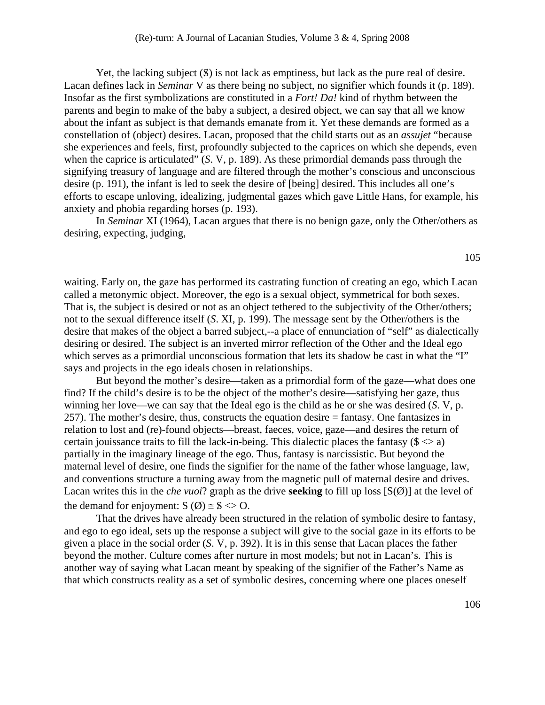Yet, the lacking subject  $(S)$  is not lack as emptiness, but lack as the pure real of desire. Lacan defines lack in *Seminar* V as there being no subject, no signifier which founds it (p. 189). Insofar as the first symbolizations are constituted in a *Fort! Da!* kind of rhythm between the parents and begin to make of the baby a subject, a desired object, we can say that all we know about the infant as subject is that demands emanate from it. Yet these demands are formed as a constellation of (object) desires. Lacan, proposed that the child starts out as an *assujet* "because she experiences and feels, first, profoundly subjected to the caprices on which she depends, even when the caprice is articulated" (*S. V*, p. 189). As these primordial demands pass through the signifying treasury of language and are filtered through the mother's conscious and unconscious desire (p. 191), the infant is led to seek the desire of [being] desired. This includes all one's efforts to escape unloving, idealizing, judgmental gazes which gave Little Hans, for example, his anxiety and phobia regarding horses (p. 193).

 In *Seminar* XI (1964), Lacan argues that there is no benign gaze, only the Other/others as desiring, expecting, judging,

waiting. Early on, the gaze has performed its castrating function of creating an ego, which Lacan called a metonymic object. Moreover, the ego is a sexual object, symmetrical for both sexes. That is, the subject is desired or not as an object tethered to the subjectivity of the Other/others; not to the sexual difference itself (*S*. XI, p. 199). The message sent by the Other/others is the desire that makes of the object a barred subject,--a place of ennunciation of "self" as dialectically desiring or desired. The subject is an inverted mirror reflection of the Other and the Ideal ego which serves as a primordial unconscious formation that lets its shadow be cast in what the "I" says and projects in the ego ideals chosen in relationships.

 But beyond the mother's desire—taken as a primordial form of the gaze—what does one find? If the child's desire is to be the object of the mother's desire—satisfying her gaze, thus winning her love—we can say that the Ideal ego is the child as he or she was desired (*S*. V, p. 257). The mother's desire, thus, constructs the equation desire = fantasy. One fantasizes in relation to lost and (re)-found objects—breast, faeces, voice, gaze—and desires the return of certain jouissance traits to fill the lack-in-being. This dialectic places the fantasy ( $\zeta > a$ ) partially in the imaginary lineage of the ego. Thus, fantasy is narcissistic. But beyond the maternal level of desire, one finds the signifier for the name of the father whose language, law, and conventions structure a turning away from the magnetic pull of maternal desire and drives. Lacan writes this in the *che vuoi*? graph as the drive **seeking** to fill up loss [S(Ø)] at the level of the demand for enjoyment:  $S(\emptyset) \cong S \ll 0$ .

 That the drives have already been structured in the relation of symbolic desire to fantasy, and ego to ego ideal, sets up the response a subject will give to the social gaze in its efforts to be given a place in the social order (*S*. V, p. 392). It is in this sense that Lacan places the father beyond the mother. Culture comes after nurture in most models; but not in Lacan's. This is another way of saying what Lacan meant by speaking of the signifier of the Father's Name as that which constructs reality as a set of symbolic desires, concerning where one places oneself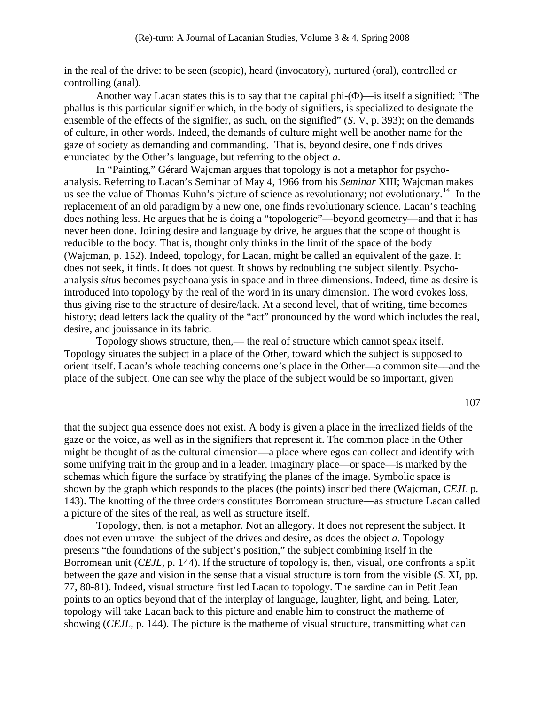in the real of the drive: to be seen (scopic), heard (invocatory), nurtured (oral), controlled or controlling (anal).

 Another way Lacan states this is to say that the capital phi-(Φ)—is itself a signified: "The phallus is this particular signifier which, in the body of signifiers, is specialized to designate the ensemble of the effects of the signifier, as such, on the signified" (*S*. V, p. 393); on the demands of culture, in other words. Indeed, the demands of culture might well be another name for the gaze of society as demanding and commanding. That is, beyond desire, one finds drives enunciated by the Other's language, but referring to the object *a*.

 In "Painting," Gérard Wajcman argues that topology is not a metaphor for psychoanalysis. Referring to Lacan's Seminar of May 4, 1966 from his *Seminar* XIII; Wajcman makes us see the value of Thomas Kuhn's picture of science as revolutionary; not evolutionary.<sup>[14](#page-10-0)</sup> In the replacement of an old paradigm by a new one, one finds revolutionary science. Lacan's teaching does nothing less. He argues that he is doing a "topologerie"—beyond geometry—and that it has never been done. Joining desire and language by drive, he argues that the scope of thought is reducible to the body. That is, thought only thinks in the limit of the space of the body (Wajcman, p. 152). Indeed, topology, for Lacan, might be called an equivalent of the gaze. It does not seek, it finds. It does not quest. It shows by redoubling the subject silently. Psychoanalysis *situs* becomes psychoanalysis in space and in three dimensions. Indeed, time as desire is introduced into topology by the real of the word in its unary dimension. The word evokes loss, thus giving rise to the structure of desire/lack. At a second level, that of writing, time becomes history; dead letters lack the quality of the "act" pronounced by the word which includes the real, desire, and jouissance in its fabric.

Topology shows structure, then,— the real of structure which cannot speak itself. Topology situates the subject in a place of the Other, toward which the subject is supposed to orient itself. Lacan's whole teaching concerns one's place in the Other––a common site––and the place of the subject. One can see why the place of the subject would be so important, given

107

that the subject qua essence does not exist. A body is given a place in the irrealized fields of the gaze or the voice, as well as in the signifiers that represent it. The common place in the Other might be thought of as the cultural dimension—a place where egos can collect and identify with some unifying trait in the group and in a leader. Imaginary place—or space—is marked by the schemas which figure the surface by stratifying the planes of the image. Symbolic space is shown by the graph which responds to the places (the points) inscribed there (Wajcman, *CEJL* p. 143). The knotting of the three orders constitutes Borromean structure—as structure Lacan called a picture of the sites of the real, as well as structure itself.

 Topology, then, is not a metaphor. Not an allegory. It does not represent the subject. It does not even unravel the subject of the drives and desire, as does the object *a*. Topology presents "the foundations of the subject's position," the subject combining itself in the Borromean unit (*CEJL*, p. 144). If the structure of topology is, then, visual, one confronts a split between the gaze and vision in the sense that a visual structure is torn from the visible (*S*. XI, pp. 77, 80-81). Indeed, visual structure first led Lacan to topology. The sardine can in Petit Jean points to an optics beyond that of the interplay of language, laughter, light, and being. Later, topology will take Lacan back to this picture and enable him to construct the matheme of showing (*CEJL*, p. 144). The picture is the matheme of visual structure, transmitting what can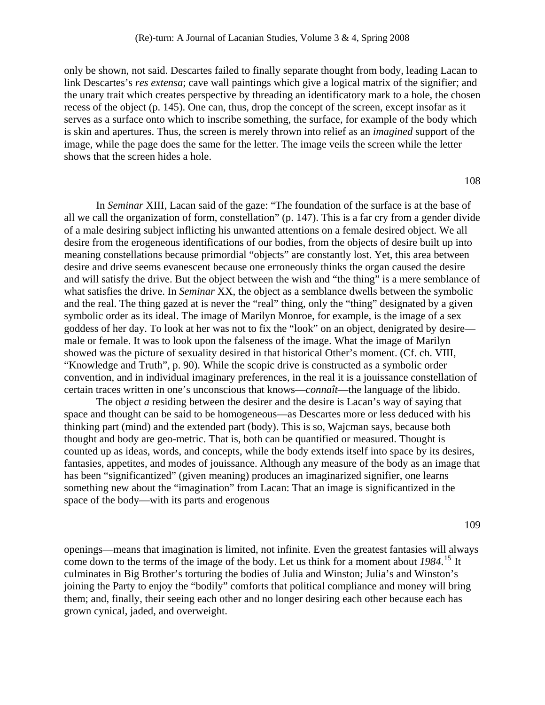only be shown, not said. Descartes failed to finally separate thought from body, leading Lacan to link Descartes's *res extensa*; cave wall paintings which give a logical matrix of the signifier; and the unary trait which creates perspective by threading an identificatory mark to a hole, the chosen recess of the object (p. 145). One can, thus, drop the concept of the screen, except insofar as it serves as a surface onto which to inscribe something, the surface, for example of the body which is skin and apertures. Thus, the screen is merely thrown into relief as an *imagined* support of the image, while the page does the same for the letter. The image veils the screen while the letter shows that the screen hides a hole.

108

 In *Seminar* XIII, Lacan said of the gaze: "The foundation of the surface is at the base of all we call the organization of form, constellation" (p. 147). This is a far cry from a gender divide of a male desiring subject inflicting his unwanted attentions on a female desired object. We all desire from the erogeneous identifications of our bodies, from the objects of desire built up into meaning constellations because primordial "objects" are constantly lost. Yet, this area between desire and drive seems evanescent because one erroneously thinks the organ caused the desire and will satisfy the drive. But the object between the wish and "the thing" is a mere semblance of what satisfies the drive. In *Seminar* XX, the object as a semblance dwells between the symbolic and the real. The thing gazed at is never the "real" thing, only the "thing" designated by a given symbolic order as its ideal. The image of Marilyn Monroe, for example, is the image of a sex goddess of her day. To look at her was not to fix the "look" on an object, denigrated by desire male or female. It was to look upon the falseness of the image. What the image of Marilyn showed was the picture of sexuality desired in that historical Other's moment. (Cf. ch. VIII, "Knowledge and Truth", p. 90). While the scopic drive is constructed as a symbolic order convention, and in individual imaginary preferences, in the real it is a jouissance constellation of certain traces written in one's unconscious that knows—*connaît*—the language of the libido.

The object *a* residing between the desirer and the desire is Lacan's way of saying that space and thought can be said to be homogeneous—as Descartes more or less deduced with his thinking part (mind) and the extended part (body). This is so, Wajcman says, because both thought and body are geo-metric. That is, both can be quantified or measured. Thought is counted up as ideas, words, and concepts, while the body extends itself into space by its desires, fantasies, appetites, and modes of jouissance. Although any measure of the body as an image that has been "significantized" (given meaning) produces an imaginarized signifier, one learns something new about the "imagination" from Lacan: That an image is significantized in the space of the body—with its parts and erogenous

109

openings—means that imagination is limited, not infinite. Even the greatest fantasies will always come down to the terms of the image of the body. Let us think for a moment about *1984*. [15](#page-10-0) It culminates in Big Brother's torturing the bodies of Julia and Winston; Julia's and Winston's joining the Party to enjoy the "bodily" comforts that political compliance and money will bring them; and, finally, their seeing each other and no longer desiring each other because each has grown cynical, jaded, and overweight.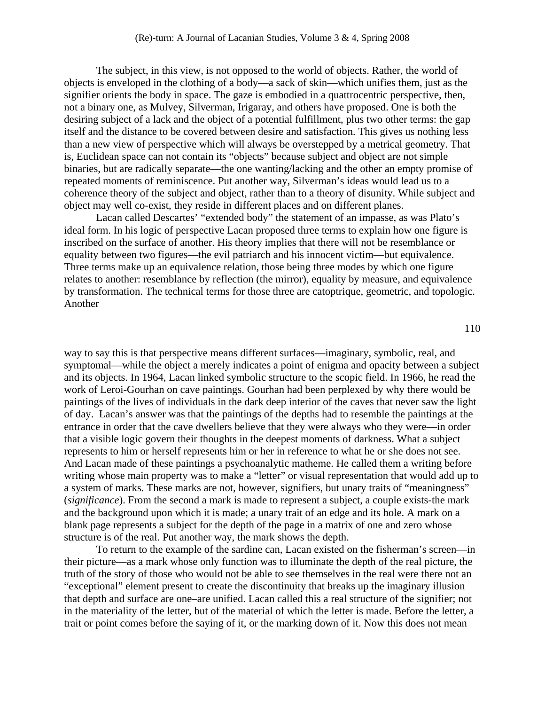The subject, in this view, is not opposed to the world of objects. Rather, the world of objects is enveloped in the clothing of a body—a sack of skin—which unifies them, just as the signifier orients the body in space. The gaze is embodied in a quattrocentric perspective, then, not a binary one, as Mulvey, Silverman, Irigaray, and others have proposed. One is both the desiring subject of a lack and the object of a potential fulfillment, plus two other terms: the gap itself and the distance to be covered between desire and satisfaction. This gives us nothing less than a new view of perspective which will always be overstepped by a metrical geometry. That is, Euclidean space can not contain its "objects" because subject and object are not simple binaries, but are radically separate—the one wanting/lacking and the other an empty promise of repeated moments of reminiscence. Put another way, Silverman's ideas would lead us to a coherence theory of the subject and object, rather than to a theory of disunity. While subject and object may well co-exist, they reside in different places and on different planes.

 Lacan called Descartes' "extended body" the statement of an impasse, as was Plato's ideal form. In his logic of perspective Lacan proposed three terms to explain how one figure is inscribed on the surface of another. His theory implies that there will not be resemblance or equality between two figures—the evil patriarch and his innocent victim—but equivalence. Three terms make up an equivalence relation, those being three modes by which one figure relates to another: resemblance by reflection (the mirror), equality by measure, and equivalence by transformation. The technical terms for those three are catoptrique, geometric, and topologic. Another

way to say this is that perspective means different surfaces—imaginary, symbolic, real, and symptomal—while the object a merely indicates a point of enigma and opacity between a subject and its objects. In 1964, Lacan linked symbolic structure to the scopic field. In 1966, he read the work of Leroi-Gourhan on cave paintings. Gourhan had been perplexed by why there would be paintings of the lives of individuals in the dark deep interior of the caves that never saw the light of day. Lacan's answer was that the paintings of the depths had to resemble the paintings at the entrance in order that the cave dwellers believe that they were always who they were—in order that a visible logic govern their thoughts in the deepest moments of darkness. What a subject represents to him or herself represents him or her in reference to what he or she does not see. And Lacan made of these paintings a psychoanalytic matheme. He called them a writing before writing whose main property was to make a "letter" or visual representation that would add up to a system of marks. These marks are not, however, signifiers, but unary traits of "meaningness" (*significance*). From the second a mark is made to represent a subject, a couple exists-the mark and the background upon which it is made; a unary trait of an edge and its hole. A mark on a blank page represents a subject for the depth of the page in a matrix of one and zero whose structure is of the real. Put another way, the mark shows the depth.

 To return to the example of the sardine can, Lacan existed on the fisherman's screen—in their picture—as a mark whose only function was to illuminate the depth of the real picture, the truth of the story of those who would not be able to see themselves in the real were there not an "exceptional" element present to create the discontinuity that breaks up the imaginary illusion that depth and surface are one–are unified. Lacan called this a real structure of the signifier; not in the materiality of the letter, but of the material of which the letter is made. Before the letter, a trait or point comes before the saying of it, or the marking down of it. Now this does not mean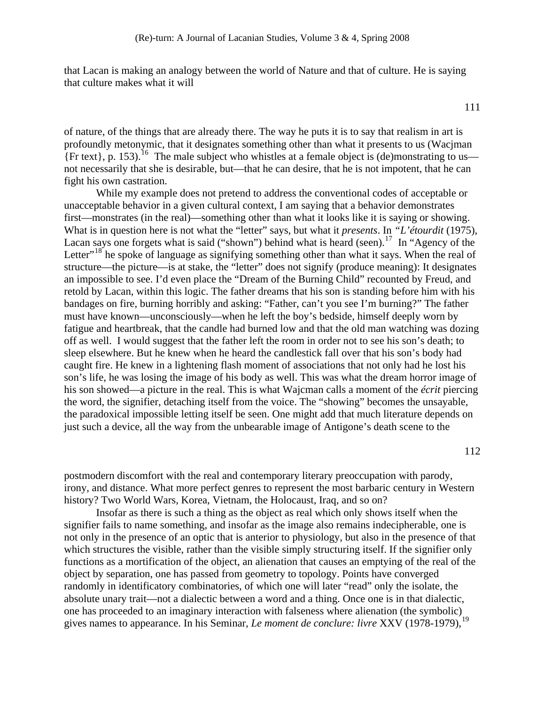that Lacan is making an analogy between the world of Nature and that of culture. He is saying that culture makes what it will

111

of nature, of the things that are already there. The way he puts it is to say that realism in art is profoundly metonymic, that it designates something other than what it presents to us (Wacjman  ${\rm Frtext}$ , p. 153).<sup>[16](#page-10-0)</sup> The male subject who whistles at a female object is (de)monstrating to us not necessarily that she is desirable, but—that he can desire, that he is not impotent, that he can fight his own castration.

 While my example does not pretend to address the conventional codes of acceptable or unacceptable behavior in a given cultural context, I am saying that a behavior demonstrates first—monstrates (in the real)—something other than what it looks like it is saying or showing. What is in question here is not what the "letter" says, but what it *presents*. In *"L'étourdit* (1975), Lacan says one forgets what is said ("shown") behind what is heard (seen).<sup>[17](#page-10-0)</sup> In "Agency of the Letter"<sup>[18](#page-10-0)</sup> he spoke of language as signifying something other than what it says. When the real of structure—the picture—is at stake, the "letter" does not signify (produce meaning): It designates an impossible to see. I'd even place the "Dream of the Burning Child" recounted by Freud, and retold by Lacan, within this logic. The father dreams that his son is standing before him with his bandages on fire, burning horribly and asking: "Father, can't you see I'm burning?" The father must have known—unconsciously—when he left the boy's bedside, himself deeply worn by fatigue and heartbreak, that the candle had burned low and that the old man watching was dozing off as well. I would suggest that the father left the room in order not to see his son's death; to sleep elsewhere. But he knew when he heard the candlestick fall over that his son's body had caught fire. He knew in a lightening flash moment of associations that not only had he lost his son's life, he was losing the image of his body as well. This was what the dream horror image of his son showed—a picture in the real. This is what Wajcman calls a moment of the *écrit* piercing the word, the signifier, detaching itself from the voice. The "showing" becomes the unsayable, the paradoxical impossible letting itself be seen. One might add that much literature depends on just such a device, all the way from the unbearable image of Antigone's death scene to the

112

postmodern discomfort with the real and contemporary literary preoccupation with parody, irony, and distance. What more perfect genres to represent the most barbaric century in Western history? Two World Wars, Korea, Vietnam, the Holocaust, Iraq, and so on?

 Insofar as there is such a thing as the object as real which only shows itself when the signifier fails to name something, and insofar as the image also remains indecipherable, one is not only in the presence of an optic that is anterior to physiology, but also in the presence of that which structures the visible, rather than the visible simply structuring itself. If the signifier only functions as a mortification of the object, an alienation that causes an emptying of the real of the object by separation, one has passed from geometry to topology. Points have converged randomly in identificatory combinatories, of which one will later "read" only the isolate, the absolute unary trait—not a dialectic between a word and a thing. Once one is in that dialectic, one has proceeded to an imaginary interaction with falseness where alienation (the symbolic) gives names to appearance. In his Seminar, *Le moment de conclure: livre* XXV ([19](#page-10-0)78-1979),<sup>19</sup>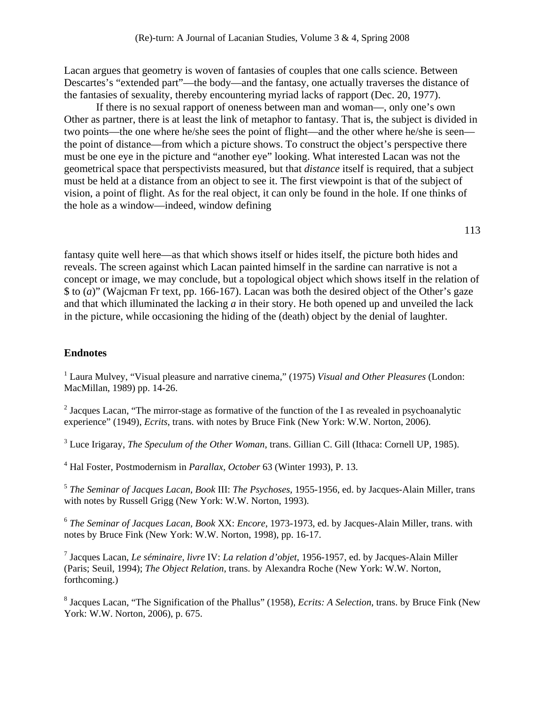<span id="page-9-1"></span>Lacan argues that geometry is woven of fantasies of couples that one calls science. Between Descartes's "extended part"—the body—and the fantasy, one actually traverses the distance of the fantasies of sexuality, thereby encountering myriad lacks of rapport (Dec. 20, 1977).

 If there is no sexual rapport of oneness between man and woman––, only one's own Other as partner, there is at least the link of metaphor to fantasy. That is, the subject is divided in two points—the one where he/she sees the point of flight—and the other where he/she is seen the point of distance—from which a picture shows. To construct the object's perspective there must be one eye in the picture and "another eye" looking. What interested Lacan was not the geometrical space that perspectivists measured, but that *distance* itself is required, that a subject must be held at a distance from an object to see it. The first viewpoint is that of the subject of vision, a point of flight. As for the real object, it can only be found in the hole. If one thinks of the hole as a window—indeed, window defining

113

fantasy quite well here—as that which shows itself or hides itself, the picture both hides and reveals. The screen against which Lacan painted himself in the sardine can narrative is not a concept or image, we may conclude, but a topological object which shows itself in the relation of \$ to (*a*)" (Wajcman Fr text, pp. 166-167). Lacan was both the desired object of the Other's gaze and that which illuminated the lacking *a* in their story. He both opened up and unveiled the lack in the picture, while occasioning the hiding of the (death) object by the denial of laughter.

## **Endnotes**

<span id="page-9-0"></span><sup>1</sup> Laura Mulvey, "Visual pleasure and narrative cinema," (1975) *Visual and Other Pleasures* (London: MacMillan, 1989) pp. 14-26.

<sup>2</sup> Jacques Lacan, "The mirror-stage as formative of the function of the I as revealed in psychoanalytic experience" (1949), *Ecrits*, trans. with notes by Bruce Fink (New York: W.W. Norton, 2006).

3 Luce Irigaray, *The Speculum of the Other Woman*, trans. Gillian C. Gill (Ithaca: Cornell UP, 1985).

4 Hal Foster, Postmodernism in *Parallax*, *October* 63 (Winter 1993), P. 13.

<sup>5</sup> *The Seminar of Jacques Lacan, Book* III: *The Psychoses*, 1955-1956, ed. by Jacques-Alain Miller, trans with notes by Russell Grigg (New York: W.W. Norton, 1993).

<sup>6</sup> *The Seminar of Jacques Lacan, Book* XX: *Encore*, 1973-1973, ed. by Jacques-Alain Miller, trans. with notes by Bruce Fink (New York: W.W. Norton, 1998), pp. 16-17.

7 Jacques Lacan, *Le séminaire, livre* IV: *La relation d'objet*, 1956-1957, ed. by Jacques-Alain Miller (Paris; Seuil, 1994); *The Object Relation*, trans. by Alexandra Roche (New York: W.W. Norton, forthcoming.)

8 Jacques Lacan, "The Signification of the Phallus" (1958), *Ecrits: A Selection*, trans. by Bruce Fink (New York: W.W. Norton, 2006), p. 675.